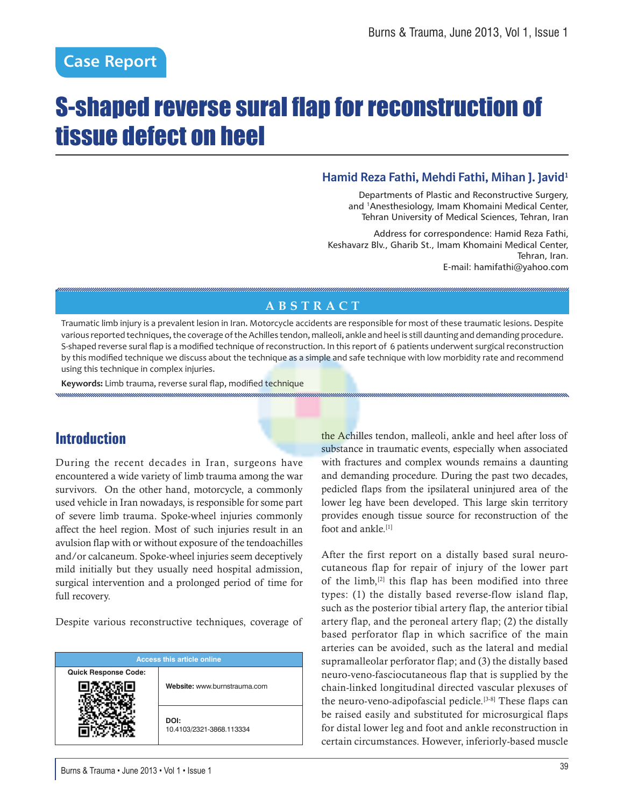# **S-shaped reverse sural flap for reconstruction of** tissue defect on heel

#### **Hamid Reza Fathi, Mehdi Fathi, Mihan J. Javid1**

Departments of Plastic and Reconstructive Surgery, and 1Anesthesiology, Imam Khomaini Medical Center, Tehran University of Medical Sciences, Tehran, Iran

Address for correspondence: Hamid Reza Fathi, Keshavarz Blv., Gharib St., Imam Khomaini Medical Center, Tehran, Iran. E-mail: hamifathi@yahoo.com

#### **ABSTRACT**

Traumatic limb injury is a prevalent lesion in Iran. Motorcycle accidents are responsible for most of these traumatic lesions. Despite various reported techniques, the coverage of the Achilles tendon, malleoli, ankle and heel is still daunting and demanding procedure. S-shaped reverse sural flap is a modified technique of reconstruction. In this report of 6 patients underwent surgical reconstruction by this modified technique we discuss about the technique as a simple and safe technique with low morbidity rate and recommend using this technique in complex injuries.

**Keywords:** Limb trauma, reverse sural flap, modified technique

# **Introduction**

During the recent decades in Iran, surgeons have encountered a wide variety of limb trauma among the war survivors. On the other hand, motorcycle, a commonly used vehicle in Iran nowadays, is responsible for some part of severe limb trauma. Spoke-wheel injuries commonly affect the heel region. Most of such injuries result in an avulsion flap with or without exposure of the tendoachilles and/or calcaneum. Spoke-wheel injuries seem deceptively mild initially but they usually need hospital admission, surgical intervention and a prolonged period of time for full recovery.

Despite various reconstructive techniques, coverage of

| <b>Access this article online</b> |                                  |  |  |  |
|-----------------------------------|----------------------------------|--|--|--|
| <b>Quick Response Code:</b>       | Website: www.burnstrauma.com     |  |  |  |
|                                   | DOI:<br>10.4103/2321-3868.113334 |  |  |  |

Burns & Trauma • June 2013 • Vol 1 • Issue 1 39

the Achilles tendon, malleoli, ankle and heel after loss of substance in traumatic events, especially when associated with fractures and complex wounds remains a daunting and demanding procedure. During the past two decades, pedicled flaps from the ipsilateral uninjured area of the lower leg have been developed. This large skin territory provides enough tissue source for reconstruction of the foot and ankle.<sup>[1]</sup>

After the first report on a distally based sural neurocutaneous flap for repair of injury of the lower part of the  $limb$ ,  $[2]$  this flap has been modified into three types: (1) the distally based reverse-flow island flap, such as the posterior tibial artery flap, the anterior tibial artery flap, and the peroneal artery flap; (2) the distally based perforator flap in which sacrifice of the main arteries can be avoided, such as the lateral and medial supramalleolar perforator flap; and (3) the distally based neuro-veno-fasciocutaneous flap that is supplied by the chain-linked longitudinal directed vascular plexuses of the neuro-veno-adipofascial pedicle.<sup>[3-8]</sup> These flaps can be raised easily and substituted for microsurgical flaps for distal lower leg and foot and ankle reconstruction in certain circumstances. However, inferiorly-based muscle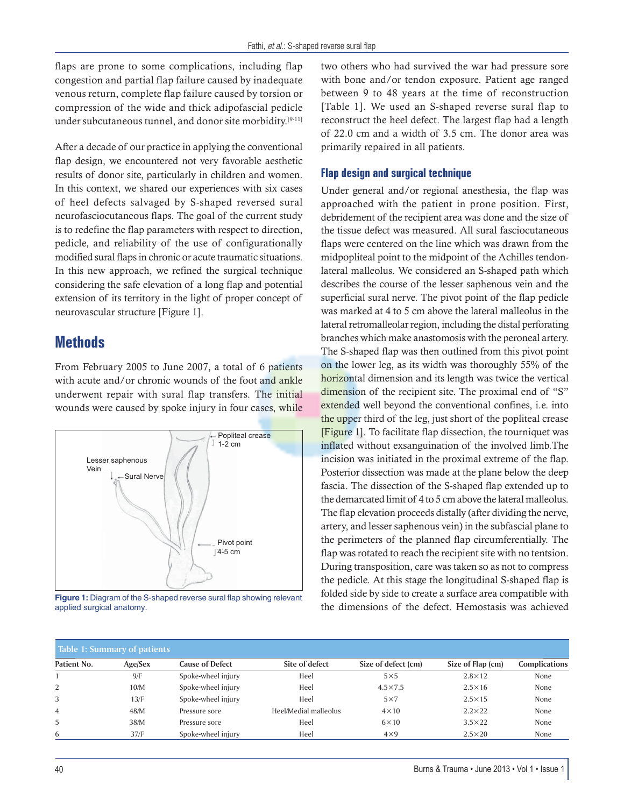flaps are prone to some complications, including flap congestion and partial flap failure caused by inadequate venous return, complete flap failure caused by torsion or compression of the wide and thick adipofascial pedicle under subcutaneous tunnel, and donor site morbidity.<sup>[9-11]</sup>

After a decade of our practice in applying the conventional flap design, we encountered not very favorable aesthetic results of donor site, particularly in children and women. In this context, we shared our experiences with six cases of heel defects salvaged by S-shaped reversed sural neurofasciocutaneous flaps. The goal of the current study is to redefine the flap parameters with respect to direction, pedicle, and reliability of the use of configurationally modified sural flaps in chronic or acute traumatic situations. In this new approach, we refined the surgical technique considering the safe elevation of a long flap and potential extension of its territory in the light of proper concept of neurovascular structure [Figure 1].

# **Methods**

From February 2005 to June 2007, a total of 6 patients with acute and/or chronic wounds of the foot and ankle underwent repair with sural flap transfers. The initial wounds were caused by spoke injury in four cases, while



**Figure 1:** Diagram of the S-shaped reverse sural flap showing relevant applied surgical anatomy.

two others who had survived the war had pressure sore with bone and/or tendon exposure. Patient age ranged between 9 to 48 years at the time of reconstruction [Table 1]. We used an S-shaped reverse sural flap to reconstruct the heel defect. The largest flap had a length of 22.0 cm and a width of 3.5 cm. The donor area was primarily repaired in all patients.

#### **Flap design and surgical technique**

Under general and/or regional anesthesia, the flap was approached with the patient in prone position. First, debridement of the recipient area was done and the size of the tissue defect was measured. All sural fasciocutaneous flaps were centered on the line which was drawn from the midpopliteal point to the midpoint of the Achilles tendonlateral malleolus. We considered an S-shaped path which describes the course of the lesser saphenous vein and the superficial sural nerve. The pivot point of the flap pedicle was marked at 4 to 5 cm above the lateral malleolus in the lateral retromalleolar region, including the distal perforating branches which make anastomosis with the peroneal artery. The S-shaped flap was then outlined from this pivot point on the lower leg, as its width was thoroughly 55% of the horizontal dimension and its length was twice the vertical dimension of the recipient site. The proximal end of "S" extended well beyond the conventional confines, i.e. into the upper third of the leg, just short of the popliteal crease [Figure 1]. To facilitate flap dissection, the tourniquet was inflated without exsanguination of the involved limb.The incision was initiated in the proximal extreme of the flap. Posterior dissection was made at the plane below the deep fascia. The dissection of the S-shaped flap extended up to the demarcated limit of 4 to 5 cm above the lateral malleolus. The flap elevation proceeds distally (after dividing the nerve, artery, and lesser saphenous vein) in the subfascial plane to the perimeters of the planned flap circumferentially. The flap was rotated to reach the recipient site with no tentsion. During transposition, care was taken so as not to compress the pedicle. At this stage the longitudinal S-shaped flap is folded side by side to create a surface area compatible with the dimensions of the defect. Hemostasis was achieved

| <b>Table 1: Summary of patients</b> |         |                        |                       |                     |                   |                      |  |  |
|-------------------------------------|---------|------------------------|-----------------------|---------------------|-------------------|----------------------|--|--|
| Patient No.                         | Age/Sex | <b>Cause of Defect</b> | Site of defect        | Size of defect (cm) | Size of Flap (cm) | <b>Complications</b> |  |  |
|                                     | 9/F     | Spoke-wheel injury     | Heel                  | $5\times5$          | $2.8\times12$     | None                 |  |  |
| 2                                   | 10/M    | Spoke-wheel injury     | Heel                  | $4.5 \times 7.5$    | $2.5 \times 16$   | None                 |  |  |
|                                     | 13/F    | Spoke-wheel injury     | Heel                  | $5\times7$          | $2.5 \times 15$   | None                 |  |  |
| 4                                   | 48/M    | Pressure sore          | Heel/Medial malleolus | $4 \times 10$       | $2.2\times22$     | None                 |  |  |
| 5.                                  | 38/M    | Pressure sore          | Heel                  | $6\times10$         | $3.5 \times 22$   | None                 |  |  |
| 6                                   | 37/F    | Spoke-wheel injury     | Heel                  | $4\times9$          | $2.5 \times 20$   | None                 |  |  |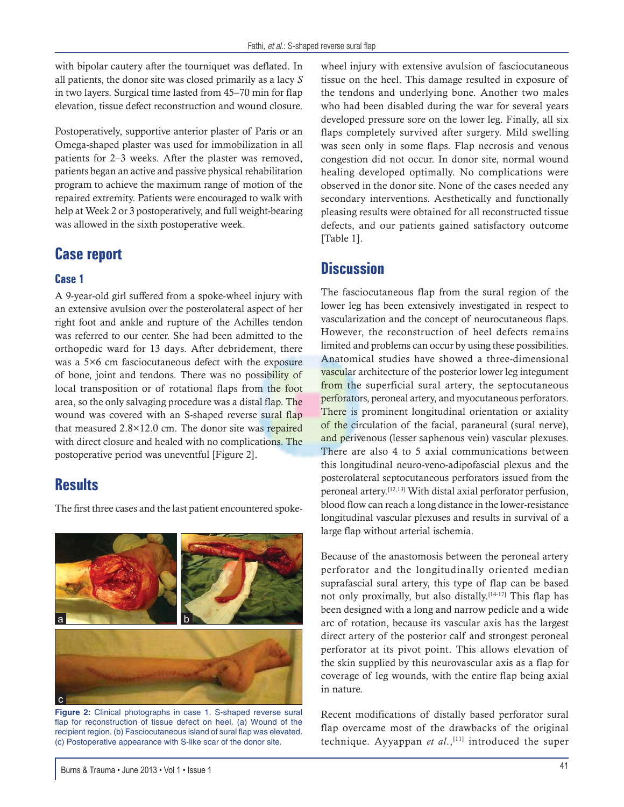with bipolar cautery after the tourniquet was deflated. In all patients, the donor site was closed primarily as a lacy *S* in two layers. Surgical time lasted from 45–70 min for flap elevation, tissue defect reconstruction and wound closure.

Postoperatively, supportive anterior plaster of Paris or an Omega-shaped plaster was used for immobilization in all patients for 2–3 weeks. After the plaster was removed, patients began an active and passive physical rehabilitation program to achieve the maximum range of motion of the repaired extremity. Patients were encouraged to walk with help at Week 2 or 3 postoperatively, and full weight-bearing was allowed in the sixth postoperative week.

## **Case report**

#### **Case 1**

A 9-year-old girl suffered from a spoke-wheel injury with an extensive avulsion over the posterolateral aspect of her right foot and ankle and rupture of the Achilles tendon was referred to our center. She had been admitted to the orthopedic ward for 13 days. After debridement, there was a 5×6 cm fasciocutaneous defect with the exposure of bone, joint and tendons. There was no possibility of local transposition or of rotational flaps from the foot area, so the only salvaging procedure was a distal flap. The wound was covered with an S-shaped reverse sural flap that measured 2.8×12.0 cm. The donor site was repaired with direct closure and healed with no complications. The postoperative period was uneventful [Figure 2].

## **Results**

The first three cases and the last patient encountered spoke-



**Figure 2:** Clinical photographs in case 1. S-shaped reverse sural flap for reconstruction of tissue defect on heel. (a) Wound of the recipient region. (b) Fasciocutaneous island of sural flap was elevated. (c) Postoperative appearance with S-like scar of the donor site.

wheel injury with extensive avulsion of fasciocutaneous tissue on the heel. This damage resulted in exposure of the tendons and underlying bone. Another two males who had been disabled during the war for several years developed pressure sore on the lower leg. Finally, all six flaps completely survived after surgery. Mild swelling was seen only in some flaps. Flap necrosis and venous congestion did not occur. In donor site, normal wound healing developed optimally. No complications were observed in the donor site. None of the cases needed any secondary interventions. Aesthetically and functionally pleasing results were obtained for all reconstructed tissue defects, and our patients gained satisfactory outcome [Table 1].

### **Discussion**

The fasciocutaneous flap from the sural region of the lower leg has been extensively investigated in respect to vascularization and the concept of neurocutaneous flaps. However, the reconstruction of heel defects remains limited and problems can occur by using these possibilities. Anatomical studies have showed a three-dimensional vascular architecture of the posterior lower leg integument from the superficial sural artery, the septocutaneous perforators, peroneal artery, and myocutaneous perforators. There is prominent longitudinal orientation or axiality of the circulation of the facial, paraneural (sural nerve), and perivenous (lesser saphenous vein) vascular plexuses. There are also 4 to 5 axial communications between this longitudinal neuro-veno-adipofascial plexus and the posterolateral septocutaneous perforators issued from the peroneal artery.[12,13] With distal axial perforator perfusion, blood flow can reach a long distance in the lower-resistance longitudinal vascular plexuses and results in survival of a large flap without arterial ischemia.

Because of the anastomosis between the peroneal artery perforator and the longitudinally oriented median suprafascial sural artery, this type of flap can be based not only proximally, but also distally.<sup>[14-17]</sup> This flap has been designed with a long and narrow pedicle and a wide arc of rotation, because its vascular axis has the largest direct artery of the posterior calf and strongest peroneal perforator at its pivot point. This allows elevation of the skin supplied by this neurovascular axis as a flap for coverage of leg wounds, with the entire flap being axial in nature.

Recent modifications of distally based perforator sural flap overcame most of the drawbacks of the original technique. Ayyappan *et al.*,<sup>[11]</sup> introduced the super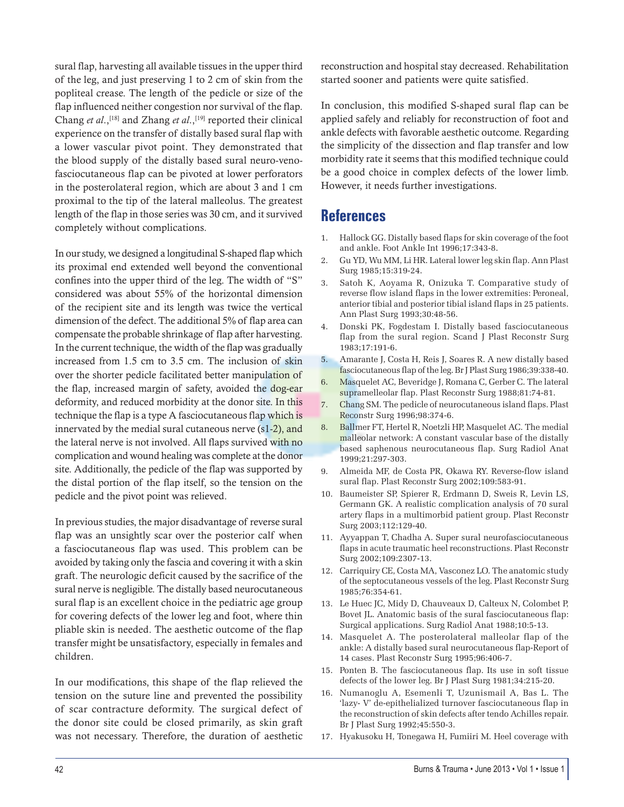sural flap, harvesting all available tissues in the upper third of the leg, and just preserving 1 to 2 cm of skin from the popliteal crease. The length of the pedicle or size of the flap influenced neither congestion nor survival of the flap. Chang *et al.*,<sup>[18]</sup> and Zhang *et al.*,<sup>[19]</sup> reported their clinical experience on the transfer of distally based sural flap with a lower vascular pivot point. They demonstrated that the blood supply of the distally based sural neuro-venofasciocutaneous flap can be pivoted at lower perforators in the posterolateral region, which are about 3 and 1 cm proximal to the tip of the lateral malleolus. The greatest length of the flap in those series was 30 cm, and it survived completely without complications.

In our study, we designed a longitudinal S-shaped flap which its proximal end extended well beyond the conventional confines into the upper third of the leg. The width of "S" considered was about 55% of the horizontal dimension of the recipient site and its length was twice the vertical dimension of the defect. The additional 5% of flap area can compensate the probable shrinkage of flap after harvesting. In the current technique, the width of the flap was gradually increased from 1.5 cm to 3.5 cm. The inclusion of skin over the shorter pedicle facilitated better manipulation of the flap, increased margin of safety, avoided the dog-ear deformity, and reduced morbidity at the donor site. In this technique the flap is a type A fasciocutaneous flap which is innervated by the medial sural cutaneous nerve (s1-2), and the lateral nerve is not involved. All flaps survived with no complication and wound healing was complete at the donor site. Additionally, the pedicle of the flap was supported by the distal portion of the flap itself, so the tension on the pedicle and the pivot point was relieved.

In previous studies, the major disadvantage of reverse sural flap was an unsightly scar over the posterior calf when a fasciocutaneous flap was used. This problem can be avoided by taking only the fascia and covering it with a skin graft. The neurologic deficit caused by the sacrifice of the sural nerve is negligible. The distally based neurocutaneous sural flap is an excellent choice in the pediatric age group for covering defects of the lower leg and foot, where thin pliable skin is needed. The aesthetic outcome of the flap transfer might be unsatisfactory, especially in females and children.

In our modifications, this shape of the flap relieved the tension on the suture line and prevented the possibility of scar contracture deformity. The surgical defect of the donor site could be closed primarily, as skin graft was not necessary. Therefore, the duration of aesthetic

reconstruction and hospital stay decreased. Rehabilitation started sooner and patients were quite satisfied.

In conclusion, this modified S-shaped sural flap can be applied safely and reliably for reconstruction of foot and ankle defects with favorable aesthetic outcome. Regarding the simplicity of the dissection and flap transfer and low morbidity rate it seems that this modified technique could be a good choice in complex defects of the lower limb. However, it needs further investigations.

## **References**

- 1. Hallock GG. Distally based flaps for skin coverage of the foot and ankle. Foot Ankle Int 1996;17:343-8.
- 2. Gu YD, Wu MM, Li HR. Lateral lower leg skin flap. Ann Plast Surg 1985;15:319-24.
- 3. Satoh K, Aoyama R, Onizuka T. Comparative study of reverse flow island flaps in the lower extremities: Peroneal, anterior tibial and posterior tibial island flaps in 25 patients. Ann Plast Surg 1993;30:48-56.
- 4. Donski PK, Fogdestam I. Distally based fasciocutaneous flap from the sural region. Scand J Plast Reconstr Surg 1983;17:191-6.
- 5. Amarante J, Costa H, Reis J, Soares R. A new distally based fasciocutaneous flap of the leg. Br J Plast Surg 1986;39:338-40.
- 6. Masquelet AC, Beveridge J, Romana C, Gerber C. The lateral supramelleolar flap. Plast Reconstr Surg 1988;81:74-81.
- 7. Chang SM. The pedicle of neurocutaneous island flaps. Plast Reconstr Surg 1996;98:374-6.
- 8. Ballmer FT, Hertel R, Noetzli HP, Masquelet AC. The medial malleolar network: A constant vascular base of the distally based saphenous neurocutaneous flap. Surg Radiol Anat 1999;21:297-303.
- 9. Almeida MF, de Costa PR, Okawa RY. Reverse-flow island sural flap. Plast Reconstr Surg 2002;109:583-91.
- 10. Baumeister SP, Spierer R, Erdmann D, Sweis R, Levin LS, Germann GK. A realistic complication analysis of 70 sural artery flaps in a multimorbid patient group. Plast Reconstr Surg 2003;112:129-40.
- 11. Ayyappan T, Chadha A. Super sural neurofasciocutaneous flaps in acute traumatic heel reconstructions. Plast Reconstr Surg 2002;109:2307-13.
- 12. Carriquiry CE, Costa MA, Vasconez LO. The anatomic study of the septocutaneous vessels of the leg. Plast Reconstr Surg 1985;76:354-61.
- 13. Le Huec JC, Midy D, Chauveaux D, Calteux N, Colombet P, Bovet JL. Anatomic basis of the sural fasciocutaneous flap: Surgical applications. Surg Radiol Anat 1988;10:5-13.
- 14. Masquelet A. The posterolateral malleolar flap of the ankle: A distally based sural neurocutaneous flap-Report of 14 cases. Plast Reconstr Surg 1995;96:406-7.
- 15. Ponten B. The fasciocutaneous flap. Its use in soft tissue defects of the lower leg. Br J Plast Surg 1981;34:215-20.
- 16. Numanoglu A, Esemenli T, Uzunismail A, Bas L. The 'lazy- V' de-epithelialized turnover fasciocutaneous flap in the reconstruction of skin defects after tendo Achilles repair. Br J Plast Surg 1992;45:550-3.
- 17. Hyakusoku H, Tonegawa H, Fumiiri M. Heel coverage with